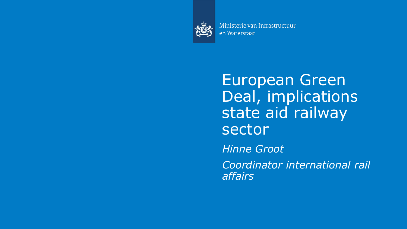

Ministerie van Infrastructuur en Waterstaat

European Green Deal, implications state aid railway sector

*Hinne Groot*

*Coordinator international rail affairs*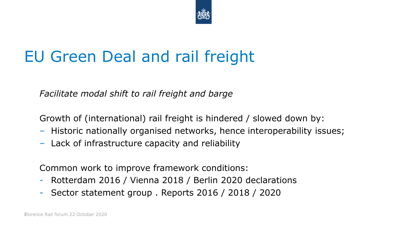

# EU Green Deal and rail freight

*Facilitate modal shift to rail freight and barge*

Growth of (international) rail freight is hindered / slowed down by:

- Historic nationally organised networks, hence interoperability issues;
- Lack of infrastructure capacity and reliability

Common work to improve framework conditions:

- Rotterdam 2016 / Vienna 2018 / Berlin 2020 declarations
- Sector statement group . Reports 2016 / 2018 / 2020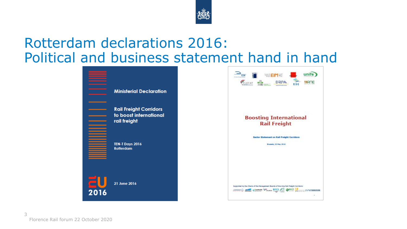

#### Rotterdam declarations 2016: Political and business statement hand in hand



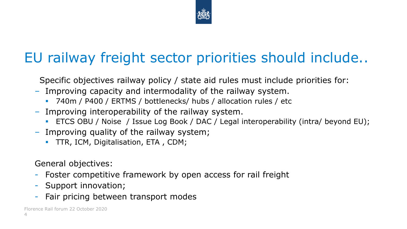

## EU railway freight sector priorities should include..

Specific objectives railway policy / state aid rules must include priorities for:

- Improving capacity and intermodality of the railway system.
	- 740m / P400 / ERTMS / bottlenecks/ hubs / allocation rules / etc
- Improving interoperability of the railway system.
	- ETCS OBU / Noise / Issue Log Book / DAC / Legal interoperability (intra/ beyond EU);
- Improving quality of the railway system;
	- **TTR, ICM, Digitalisation, ETA, CDM;**

General objectives:

- Foster competitive framework by open access for rail freight
- Support innovation;
- Fair pricing between transport modes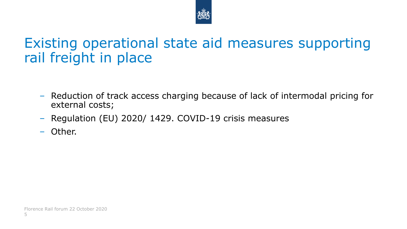

#### Existing operational state aid measures supporting rail freight in place

- Reduction of track access charging because of lack of intermodal pricing for external costs;
- Regulation (EU) 2020/ 1429. COVID-19 crisis measures
- Other.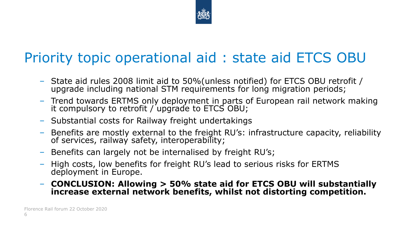

### Priority topic operational aid : state aid ETCS OBU

- State aid rules 2008 limit aid to 50%(unless notified) for ETCS OBU retrofit / upgrade including national STM requirements for long migration periods;
- Trend towards ERTMS only deployment in parts of European rail network making it compulsory to retrofit / upgrade to ETCS OBU;
- Substantial costs for Railway freight undertakings
- Benefits are mostly external to the freight RU's: infrastructure capacity, reliability of services, railway safety, interoperability;
- Benefits can largely not be internalised by freight RU's;
- High costs, low benefits for freight RU's lead to serious risks for ERTMS deployment in Europe.
- **CONCLUSION: Allowing > 50% state aid for ETCS OBU will substantially increase external network benefits, whilst not distorting competition.**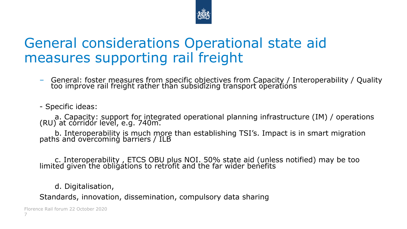

#### General considerations Operational state aid measures supporting rail freight

– General: foster measures from specific objectives from Capacity / Interoperability / Quality too improve rail freight rather than subsidizing transport operations

- Specific ideas:

a. Capacity: support for integrated operational planning infrastructure (IM) / operations (RU) at corridor level, e.g. 740m.

b. Interoperability is much more than establishing TSI's. Impact is in smart migration paths and overcoming barriers / ILB

c. Interoperability , ETCS OBU plus NOI. 50% state aid (unless notified) may be too limited given the obligations to retrofit and the far wider benefits

d. Digitalisation,

Standards, innovation, dissemination, compulsory data sharing